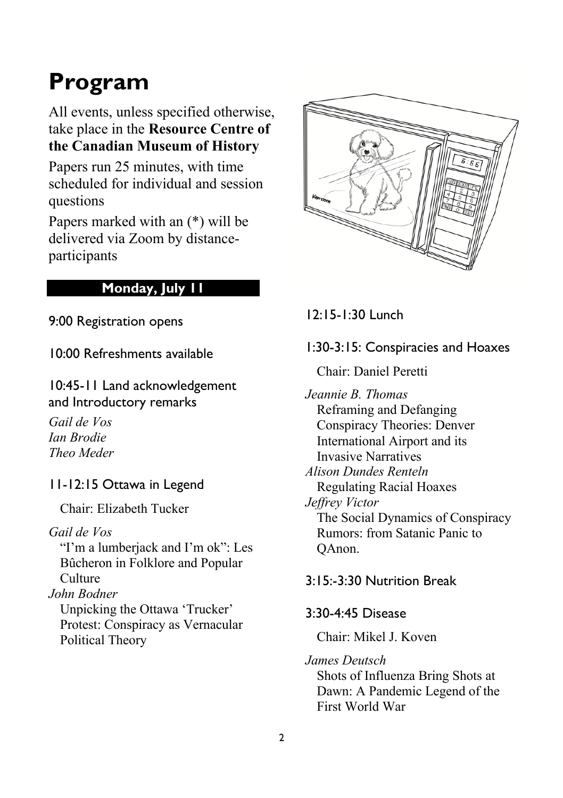# **Program**

All events, unless specified otherwise, take place in the **Resource Centre of the Canadian Museum of History**

Papers run 25 minutes, with time scheduled for individual and session questions

Papers marked with an (\*) will be delivered via Zoom by distanceparticipants

## **Monday, July 11**

9:00 Registration opens

10:00 Refreshments available

10:45-11 Land acknowledgement and Introductory remarks

*Gail de Vos Ian Brodie Theo Meder*

11-12:15 Ottawa in Legend

Chair: Elizabeth Tucker

*Gail de Vos*

"I'm a lumberjack and I'm ok": Les Bûcheron in Folklore and Popular **Culture** 

*John Bodner* 

Unpicking the Ottawa 'Trucker' Protest: Conspiracy as Vernacular Political Theory



12:15-1:30 Lunch

## 1:30-3:15: Conspiracies and Hoaxes

Chair: Daniel Peretti

*Jeannie B. Thomas* Reframing and Defanging Conspiracy Theories: Denver International Airport and its Invasive Narratives *Alison Dundes Renteln* Regulating Racial Hoaxes *Jeffrey Victor* The Social Dynamics of Conspiracy Rumors: from Satanic Panic to QAnon.

## 3:15:-3:30 Nutrition Break

#### 3:30-4:45 Disease

Chair: Mikel J. Koven

*James Deutsch*

Shots of Influenza Bring Shots at Dawn: A Pandemic Legend of the First World War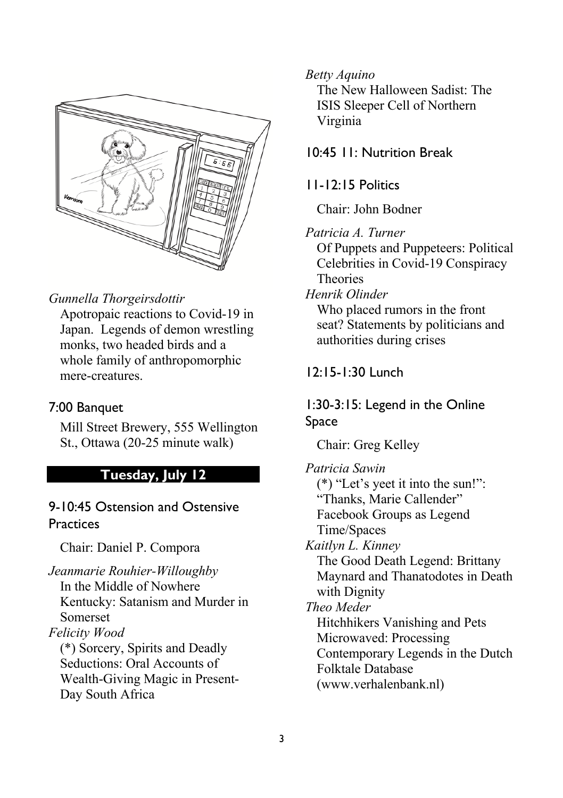

#### *Gunnella Thorgeirsdottir*

Apotropaic reactions to Covid-19 in Japan. Legends of demon wrestling monks, two headed birds and a whole family of anthropomorphic mere-creatures.

#### 7:00 Banquet

Mill Street Brewery, 555 Wellington St., Ottawa (20-25 minute walk)

#### **Tuesday, July 12**

## 9-10:45 Ostension and Ostensive **Practices**

Chair: Daniel P. Compora

*Jeanmarie Rouhier-Willoughby*  In the Middle of Nowhere Kentucky: Satanism and Murder in Somerset *Felicity Wood* (\*) Sorcery, Spirits and Deadly Seductions: Oral Accounts of Wealth-Giving Magic in Present-Day South Africa

#### *Betty Aquino*

The New Halloween Sadist: The ISIS Sleeper Cell of Northern Virginia

10:45 11: Nutrition Break

#### 11-12:15 Politics

Chair: John Bodner

*Patricia A. Turner*

Of Puppets and Puppeteers: Political Celebrities in Covid-19 Conspiracy Theories

*Henrik Olinder*

Who placed rumors in the front seat? Statements by politicians and authorities during crises

#### 12:15-1:30 Lunch

#### 1:30-3:15: Legend in the Online Space

Chair: Greg Kelley

*Patricia Sawin* (\*) "Let's yeet it into the sun!": "Thanks, Marie Callender" Facebook Groups as Legend Time/Spaces *Kaitlyn L. Kinney* The Good Death Legend: Brittany Maynard and Thanatodotes in Death with Dignity *Theo Meder* Hitchhikers Vanishing and Pets Microwaved: Processing Contemporary Legends in the Dutch Folktale Database (www.verhalenbank.nl)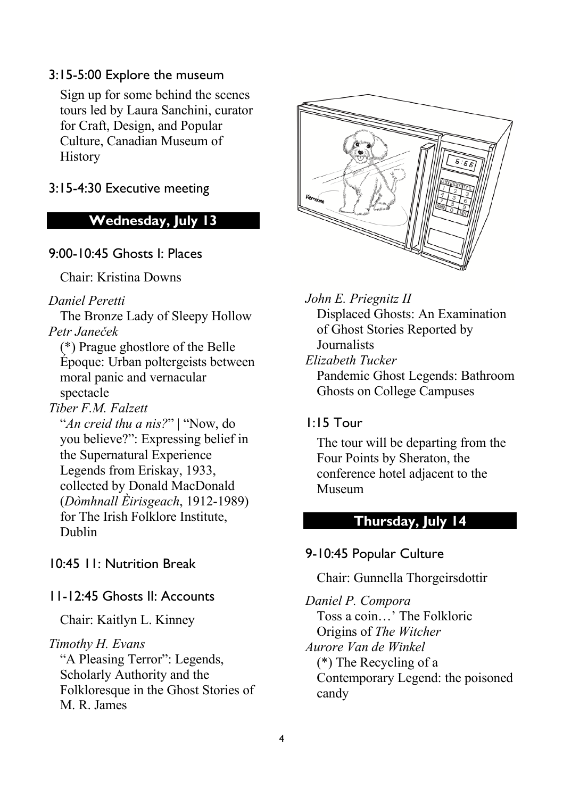#### 3:15-5:00 Explore the museum

Sign up for some behind the scenes tours led by Laura Sanchini, curator for Craft, Design, and Popular Culture, Canadian Museum of History

3:15-4:30 Executive meeting

## **Wednesday, July 13**

9:00-10:45 Ghosts I: Places

Chair: Kristina Downs

*Daniel Peretti*

The Bronze Lady of Sleepy Hollow *Petr Janeček*

(\*) Prague ghostlore of the Belle Époque: Urban poltergeists between moral panic and vernacular spectacle

*Tiber F.M. Falzett*

"*An creid thu a nis?*" | "Now, do you believe?": Expressing belief in the Supernatural Experience Legends from Eriskay, 1933, collected by Donald MacDonald (*Dòmhnall Èirisgeach*, 1912-1989) for The Irish Folklore Institute, Dublin

10:45 11: Nutrition Break

#### 11-12:45 Ghosts II: Accounts

Chair: Kaitlyn L. Kinney

#### *Timothy H. Evans*

"A Pleasing Terror": Legends, Scholarly Authority and the Folkloresque in the Ghost Stories of M. R. James



*John E. Priegnitz II*  Displaced Ghosts: An Examination of Ghost Stories Reported by Journalists *Elizabeth Tucker*

Pandemic Ghost Legends: Bathroom Ghosts on College Campuses

## 1:15 Tour

The tour will be departing from the Four Points by Sheraton, the conference hotel adjacent to the Museum

#### **Thursday, July 14**

#### 9-10:45 Popular Culture

#### Chair: Gunnella Thorgeirsdottir

*Daniel P. Compora* Toss a coin…' The Folkloric Origins of *The Witcher Aurore Van de Winkel* (\*) The Recycling of a Contemporary Legend: the poisoned candy